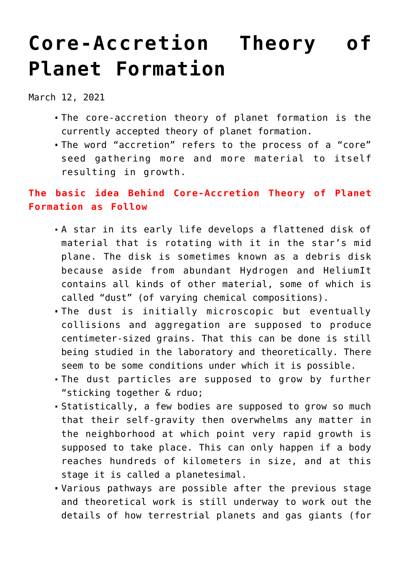## **[Core-Accretion Theory of](https://journalsofindia.com/core-accretion-theory-of-planet-formation/) [Planet Formation](https://journalsofindia.com/core-accretion-theory-of-planet-formation/)**

March 12, 2021

- The core-accretion theory of planet formation is the currently accepted theory of planet formation.
- The word "accretion" refers to the process of a "core" seed gathering more and more material to itself resulting in growth.

## **The basic idea Behind Core-Accretion Theory of Planet Formation as Follow**

- A star in its early life develops a flattened disk of material that is rotating with it in the star's mid plane. The disk is sometimes known as a debris disk because aside from abundant Hydrogen and HeliumIt contains all kinds of other material, some of which is called "dust" (of varying chemical compositions).
- The dust is initially microscopic but eventually collisions and aggregation are supposed to produce centimeter-sized grains. That this can be done is still being studied in the laboratory and theoretically. There seem to be some conditions under which it is possible.
- The dust particles are supposed to grow by further "sticking together & rduo;
- Statistically, a few bodies are supposed to grow so much that their self-gravity then overwhelms any matter in the neighborhood at which point very rapid growth is supposed to take place. This can only happen if a body reaches hundreds of kilometers in size, and at this stage it is called a planetesimal.
- Various pathways are possible after the previous stage and theoretical work is still underway to work out the details of how terrestrial planets and gas giants (for